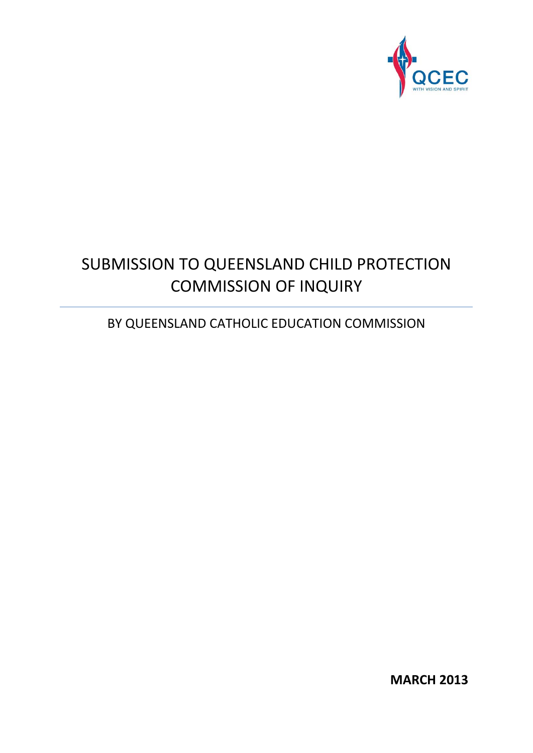

# SUBMISSION TO QUEENSLAND CHILD PROTECTION COMMISSION OF INQUIRY

## BY QUEENSLAND CATHOLIC EDUCATION COMMISSION

**MARCH 2013**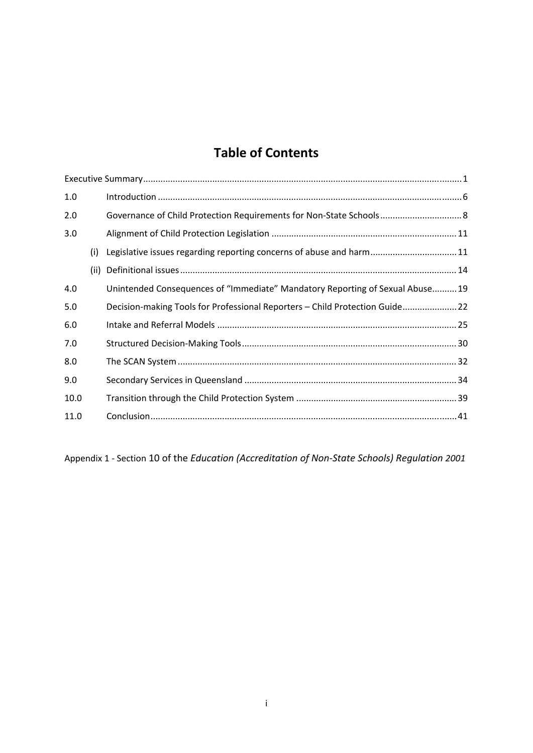## **Table of Contents**

| 1.0  |      |                                                                               |  |
|------|------|-------------------------------------------------------------------------------|--|
| 2.0  |      |                                                                               |  |
| 3.0  |      |                                                                               |  |
|      | (i)  | Legislative issues regarding reporting concerns of abuse and harm11           |  |
|      | (ii) |                                                                               |  |
| 4.0  |      | Unintended Consequences of "Immediate" Mandatory Reporting of Sexual Abuse 19 |  |
| 5.0  |      | Decision-making Tools for Professional Reporters - Child Protection Guide 22  |  |
| 6.0  |      |                                                                               |  |
| 7.0  |      |                                                                               |  |
| 8.0  |      |                                                                               |  |
| 9.0  |      |                                                                               |  |
| 10.0 |      |                                                                               |  |
| 11.0 |      |                                                                               |  |

Appendix 1 ‐ Section 10 of the *Education (Accreditation of Non‐State Schools) Regulation 2001*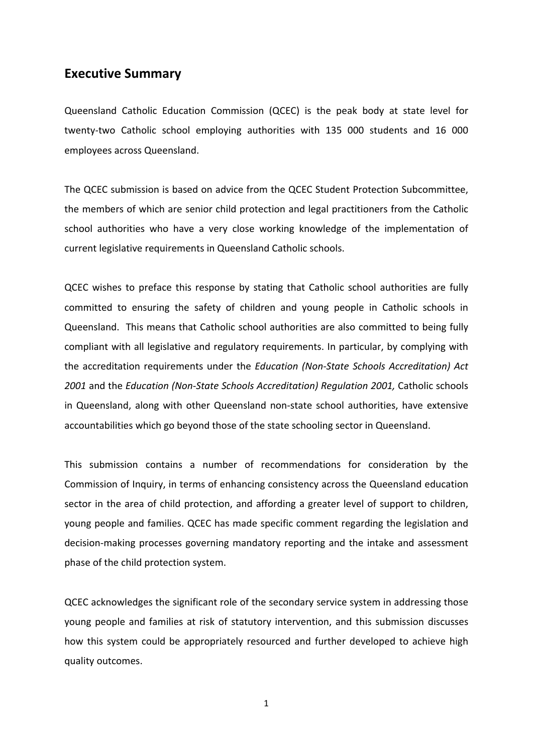## <span id="page-2-0"></span>**Executive Summary**

Queensland Catholic Education Commission (QCEC) is the peak body at state level for twenty‐two Catholic school employing authorities with 135 000 students and 16 000 employees across Queensland.

The QCEC submission is based on advice from the QCEC Student Protection Subcommittee, the members of which are senior child protection and legal practitioners from the Catholic school authorities who have a very close working knowledge of the implementation of current legislative requirements in Queensland Catholic schools.

QCEC wishes to preface this response by stating that Catholic school authorities are fully committed to ensuring the safety of children and young people in Catholic schools in Queensland. This means that Catholic school authorities are also committed to being fully compliant with all legislative and regulatory requirements. In particular, by complying with the accreditation requirements under the *Education (Non‐State Schools Accreditation) Act 2001* and the *Education (Non‐State Schools Accreditation) Regulation 2001,* Catholic schools in Queensland, along with other Queensland non‐state school authorities, have extensive accountabilities which go beyond those of the state schooling sector in Queensland.

This submission contains a number of recommendations for consideration by the Commission of Inquiry, in terms of enhancing consistency across the Queensland education sector in the area of child protection, and affording a greater level of support to children, young people and families. QCEC has made specific comment regarding the legislation and decision‐making processes governing mandatory reporting and the intake and assessment phase of the child protection system.

QCEC acknowledges the significant role of the secondary service system in addressing those young people and families at risk of statutory intervention, and this submission discusses how this system could be appropriately resourced and further developed to achieve high quality outcomes.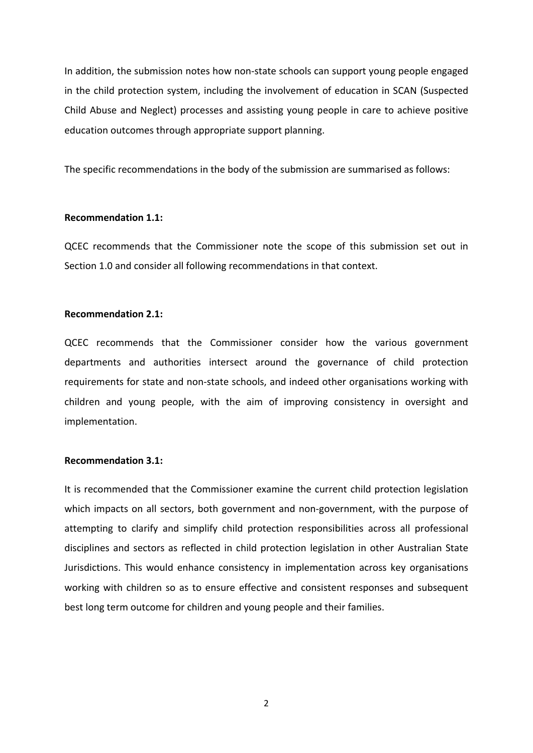In addition, the submission notes how non‐state schools can support young people engaged in the child protection system, including the involvement of education in SCAN (Suspected Child Abuse and Neglect) processes and assisting young people in care to achieve positive education outcomes through appropriate support planning.

The specific recommendations in the body of the submission are summarised as follows:

#### **Recommendation 1.1:**

QCEC recommends that the Commissioner note the scope of this submission set out in Section 1.0 and consider all following recommendations in that context.

## **Recommendation 2.1:**

QCEC recommends that the Commissioner consider how the various government departments and authorities intersect around the governance of child protection requirements for state and non-state schools, and indeed other organisations working with children and young people, with the aim of improving consistency in oversight and implementation.

#### **Recommendation 3.1:**

It is recommended that the Commissioner examine the current child protection legislation which impacts on all sectors, both government and non-government, with the purpose of attempting to clarify and simplify child protection responsibilities across all professional disciplines and sectors as reflected in child protection legislation in other Australian State Jurisdictions. This would enhance consistency in implementation across key organisations working with children so as to ensure effective and consistent responses and subsequent best long term outcome for children and young people and their families.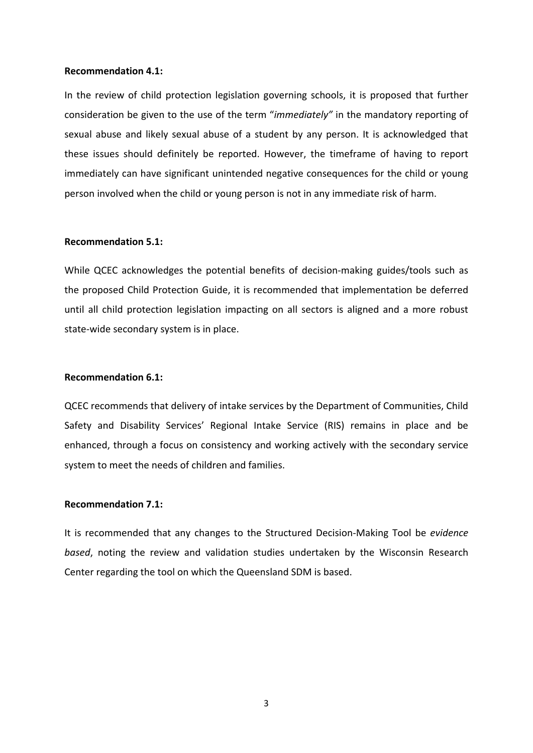#### **Recommendation 4.1:**

In the review of child protection legislation governing schools, it is proposed that further consideration be given to the use of the term "*immediately"* in the mandatory reporting of sexual abuse and likely sexual abuse of a student by any person. It is acknowledged that these issues should definitely be reported. However, the timeframe of having to report immediately can have significant unintended negative consequences for the child or young person involved when the child or young person is not in any immediate risk of harm.

#### **Recommendation 5.1:**

While QCEC acknowledges the potential benefits of decision-making guides/tools such as the proposed Child Protection Guide, it is recommended that implementation be deferred until all child protection legislation impacting on all sectors is aligned and a more robust state‐wide secondary system is in place.

## **Recommendation 6.1:**

QCEC recommends that delivery of intake services by the Department of Communities, Child Safety and Disability Services' Regional Intake Service (RIS) remains in place and be enhanced, through a focus on consistency and working actively with the secondary service system to meet the needs of children and families.

#### **Recommendation 7.1:**

It is recommended that any changes to the Structured Decision‐Making Tool be *evidence based*, noting the review and validation studies undertaken by the Wisconsin Research Center regarding the tool on which the Queensland SDM is based.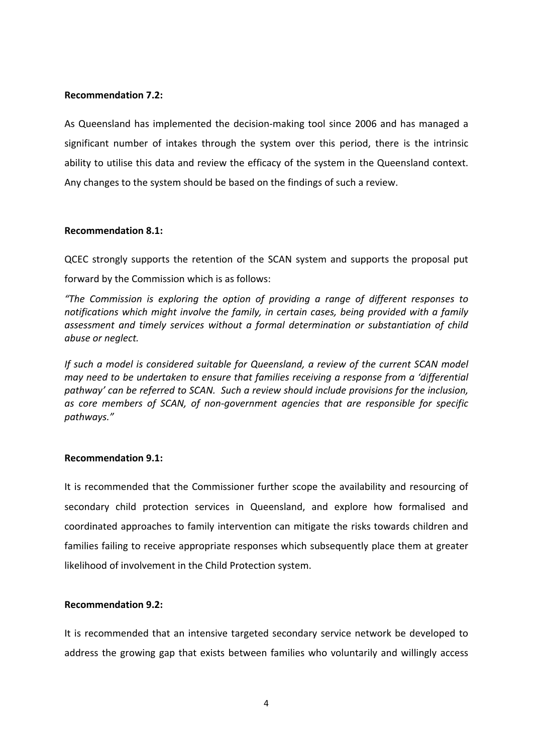## **Recommendation 7.2:**

As Queensland has implemented the decision‐making tool since 2006 and has managed a significant number of intakes through the system over this period, there is the intrinsic ability to utilise this data and review the efficacy of the system in the Queensland context. Any changes to the system should be based on the findings of such a review.

## **Recommendation 8.1:**

QCEC strongly supports the retention of the SCAN system and supports the proposal put forward by the Commission which is as follows:

*"The Commission is exploring the option of providing a range of different responses to notifications which might involve the family, in certain cases, being provided with a family assessment and timely services without a formal determination or substantiation of child abuse or neglect.* 

*If such a model is considered suitable for Queensland, a review of the current SCAN model may need to be undertaken to ensure that families receiving a response from a 'differential pathway' can be referred to SCAN. Such a review should include provisions for the inclusion, as core members of SCAN, of non‐government agencies that are responsible for specific pathways."* 

## **Recommendation 9.1:**

It is recommended that the Commissioner further scope the availability and resourcing of secondary child protection services in Queensland, and explore how formalised and coordinated approaches to family intervention can mitigate the risks towards children and families failing to receive appropriate responses which subsequently place them at greater likelihood of involvement in the Child Protection system.

## **Recommendation 9.2:**

It is recommended that an intensive targeted secondary service network be developed to address the growing gap that exists between families who voluntarily and willingly access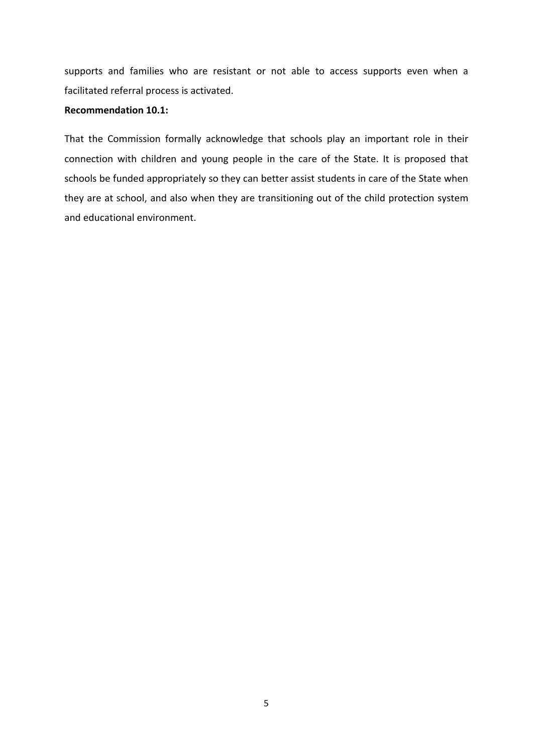supports and families who are resistant or not able to access supports even when a facilitated referral process is activated.

#### **Recommendation 10.1:**

That the Commission formally acknowledge that schools play an important role in their connection with children and young people in the care of the State. It is proposed that schools be funded appropriately so they can better assist students in care of the State when they are at school, and also when they are transitioning out of the child protection system and educational environment.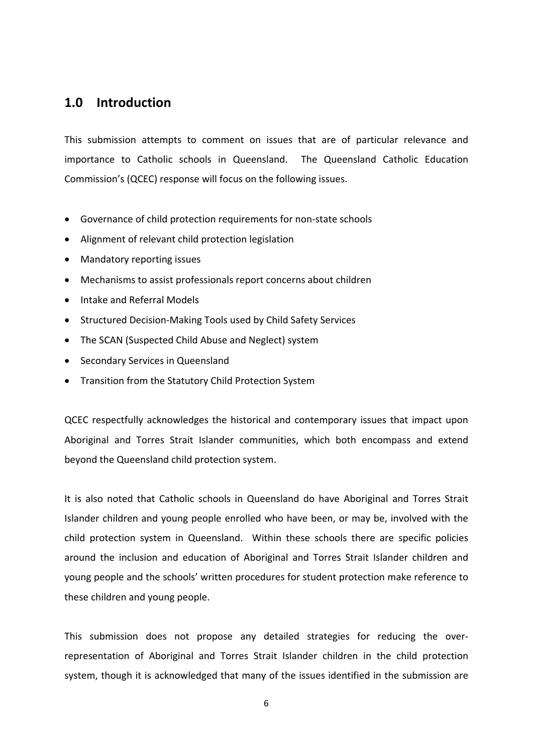## <span id="page-7-0"></span>**1.0 Introduction**

This submission attempts to comment on issues that are of particular relevance and importance to Catholic schools in Queensland. The Queensland Catholic Education Commission's (QCEC) response will focus on the following issues.

- Governance of child protection requirements for non‐state schools
- Alignment of relevant child protection legislation
- Mandatory reporting issues
- Mechanisms to assist professionals report concerns about children
- Intake and Referral Models
- Structured Decision-Making Tools used by Child Safety Services
- The SCAN (Suspected Child Abuse and Neglect) system
- Secondary Services in Queensland
- Transition from the Statutory Child Protection System

QCEC respectfully acknowledges the historical and contemporary issues that impact upon Aboriginal and Torres Strait Islander communities, which both encompass and extend beyond the Queensland child protection system.

It is also noted that Catholic schools in Queensland do have Aboriginal and Torres Strait Islander children and young people enrolled who have been, or may be, involved with the child protection system in Queensland. Within these schools there are specific policies around the inclusion and education of Aboriginal and Torres Strait Islander children and young people and the schools' written procedures for student protection make reference to these children and young people.

This submission does not propose any detailed strategies for reducing the over‐ representation of Aboriginal and Torres Strait Islander children in the child protection system, though it is acknowledged that many of the issues identified in the submission are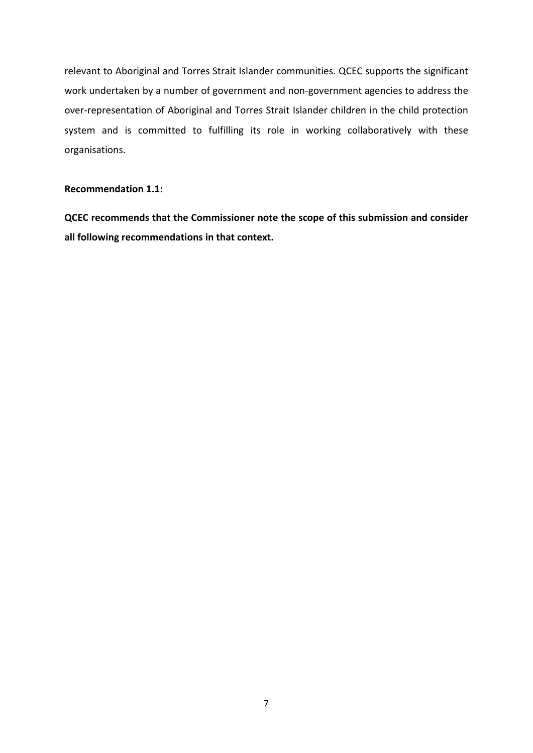relevant to Aboriginal and Torres Strait Islander communities. QCEC supports the significant work undertaken by a number of government and non‐government agencies to address the over‐representation of Aboriginal and Torres Strait Islander children in the child protection system and is committed to fulfilling its role in working collaboratively with these organisations.

## **Recommendation 1.1:**

**QCEC recommends that the Commissioner note the scope of this submission and consider all following recommendations in that context.**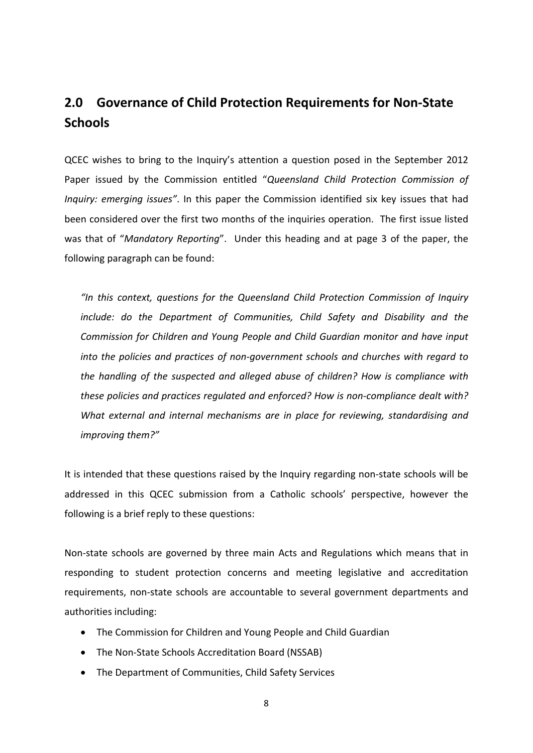## <span id="page-9-0"></span>**2.0 Governance of Child Protection Requirements for Non‐State Schools**

QCEC wishes to bring to the Inquiry's attention a question posed in the September 2012 Paper issued by the Commission entitled "*Queensland Child Protection Commission of Inquiry: emerging issues"*. In this paper the Commission identified six key issues that had been considered over the first two months of the inquiries operation. The first issue listed was that of "*Mandatory Reporting*". Under this heading and at page 3 of the paper, the following paragraph can be found:

*"In this context, questions for the Queensland Child Protection Commission of Inquiry include: do the Department of Communities, Child Safety and Disability and the Commission for Children and Young People and Child Guardian monitor and have input into the policies and practices of non‐government schools and churches with regard to the handling of the suspected and alleged abuse of children? How is compliance with these policies and practices regulated and enforced? How is non‐compliance dealt with? What external and internal mechanisms are in place for reviewing, standardising and improving them?"*

It is intended that these questions raised by the Inquiry regarding non‐state schools will be addressed in this QCEC submission from a Catholic schools' perspective, however the following is a brief reply to these questions:

Non‐state schools are governed by three main Acts and Regulations which means that in responding to student protection concerns and meeting legislative and accreditation requirements, non‐state schools are accountable to several government departments and authorities including:

- The Commission for Children and Young People and Child Guardian
- The Non-State Schools Accreditation Board (NSSAB)
- The Department of Communities, Child Safety Services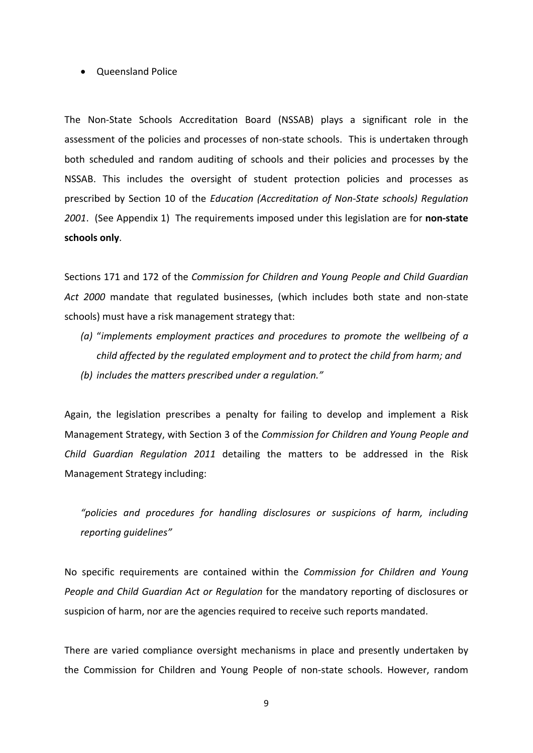#### • Queensland Police

The Non‐State Schools Accreditation Board (NSSAB) plays a significant role in the assessment of the policies and processes of non‐state schools. This is undertaken through both scheduled and random auditing of schools and their policies and processes by the NSSAB. This includes the oversight of student protection policies and processes as prescribed by Section 10 of the *Education (Accreditation of Non‐State schools) Regulation 2001*. (See Appendix 1) The requirements imposed under this legislation are for **non‐state schools only**.

Sections 171 and 172 of the *Commission for Children and Young People and Child Guardian Act 2000* mandate that regulated businesses, (which includes both state and non‐state schools) must have a risk management strategy that:

*(a)* "*implements employment practices and procedures to promote the wellbeing of a child affected by the regulated employment and to protect the child from harm; and (b) includes the matters prescribed under a regulation."* 

Again, the legislation prescribes a penalty for failing to develop and implement a Risk Management Strategy, with Section 3 of the *Commission for Children and Young People and Child Guardian Regulation 2011* detailing the matters to be addressed in the Risk Management Strategy including:

*"policies and procedures for handling disclosures or suspicions of harm, including reporting guidelines"*

No specific requirements are contained within the *Commission for Children and Young People and Child Guardian Act or Regulation* for the mandatory reporting of disclosures or suspicion of harm, nor are the agencies required to receive such reports mandated.

There are varied compliance oversight mechanisms in place and presently undertaken by the Commission for Children and Young People of non‐state schools. However, random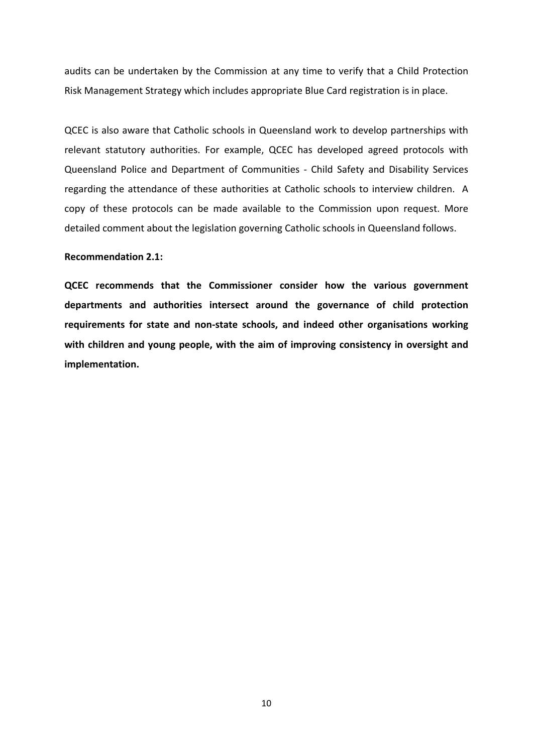audits can be undertaken by the Commission at any time to verify that a Child Protection Risk Management Strategy which includes appropriate Blue Card registration is in place.

QCEC is also aware that Catholic schools in Queensland work to develop partnerships with relevant statutory authorities. For example, QCEC has developed agreed protocols with Queensland Police and Department of Communities ‐ Child Safety and Disability Services regarding the attendance of these authorities at Catholic schools to interview children. A copy of these protocols can be made available to the Commission upon request. More detailed comment about the legislation governing Catholic schools in Queensland follows.

#### **Recommendation 2.1:**

**QCEC recommends that the Commissioner consider how the various government departments and authorities intersect around the governance of child protection requirements for state and non‐state schools, and indeed other organisations working with children and young people, with the aim of improving consistency in oversight and implementation.**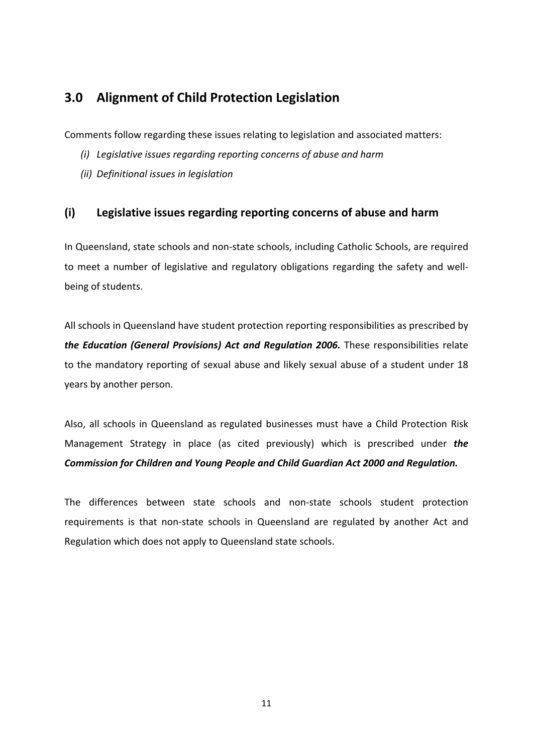## <span id="page-12-0"></span>**3.0 Alignment of Child Protection Legislation**

Comments follow regarding these issues relating to legislation and associated matters:

- *(i) Legislative issues regarding reporting concerns of abuse and harm*
- *(ii) Definitional issues in legislation*

## <span id="page-12-1"></span>**(i) Legislative issues regarding reporting concerns of abuse and harm**

In Queensland, state schools and non‐state schools, including Catholic Schools, are required to meet a number of legislative and regulatory obligations regarding the safety and well‐ being of students.

All schools in Queensland have student protection reporting responsibilities as prescribed by *the Education (General Provisions) Act and Regulation 2006.* These responsibilities relate to the mandatory reporting of sexual abuse and likely sexual abuse of a student under 18 years by another person.

Also, all schools in Queensland as regulated businesses must have a Child Protection Risk Management Strategy in place (as cited previously) which is prescribed under *the Commission for Children and Young People and Child Guardian Act 2000 and Regulation.*

The differences between state schools and non‐state schools student protection requirements is that non‐state schools in Queensland are regulated by another Act and Regulation which does not apply to Queensland state schools.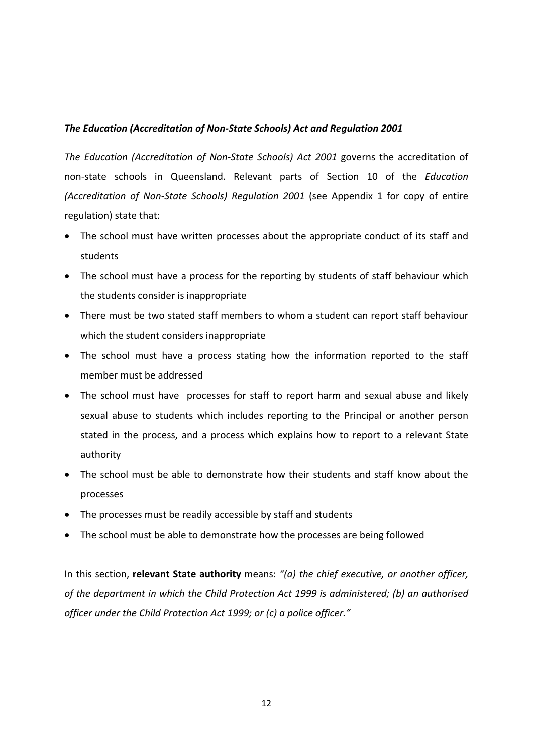## *The Education (Accreditation of Non‐State Schools) Act and Regulation 2001*

*The Education (Accreditation of Non‐State Schools) Act 2001* governs the accreditation of non‐state schools in Queensland. Relevant parts of Section 10 of the *Education (Accreditation of Non‐State Schools) Regulation 2001* (see Appendix 1 for copy of entire regulation) state that:

- The school must have written processes about the appropriate conduct of its staff and students
- The school must have a process for the reporting by students of staff behaviour which the students consider is inappropriate
- There must be two stated staff members to whom a student can report staff behaviour which the student considers inappropriate
- The school must have a process stating how the information reported to the staff member must be addressed
- The school must have processes for staff to report harm and sexual abuse and likely sexual abuse to students which includes reporting to the Principal or another person stated in the process, and a process which explains how to report to a relevant State authority
- The school must be able to demonstrate how their students and staff know about the processes
- The processes must be readily accessible by staff and students
- The school must be able to demonstrate how the processes are being followed

In this section, **relevant State authority** means: *"(a) the chief executive, or another officer, of the department in which the Child Protection Act 1999 is administered; (b) an authorised officer under the Child Protection Act 1999; or (c) a police officer."*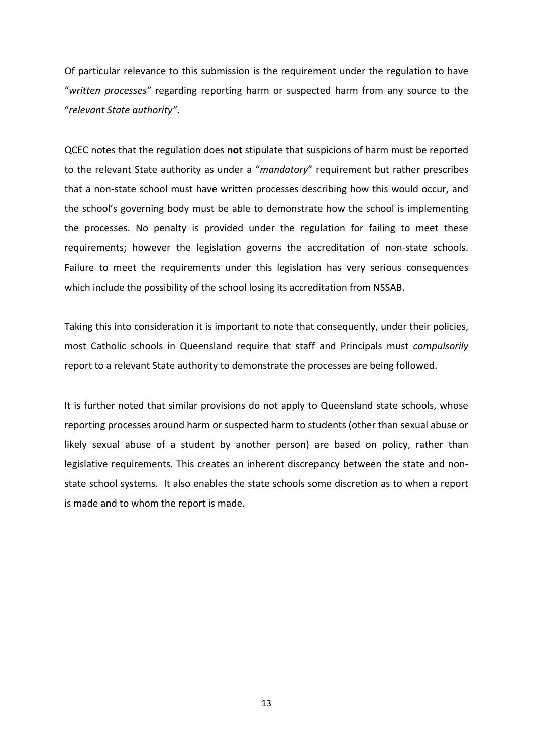Of particular relevance to this submission is the requirement under the regulation to have "*written processes"* regarding reporting harm or suspected harm from any source to the "*relevant State authority"*.

QCEC notes that the regulation does **not** stipulate that suspicions of harm must be reported to the relevant State authority as under a "*mandatory*" requirement but rather prescribes that a non‐state school must have written processes describing how this would occur, and the school's governing body must be able to demonstrate how the school is implementing the processes. No penalty is provided under the regulation for failing to meet these requirements; however the legislation governs the accreditation of non‐state schools. Failure to meet the requirements under this legislation has very serious consequences which include the possibility of the school losing its accreditation from NSSAB.

Taking this into consideration it is important to note that consequently, under their policies, most Catholic schools in Queensland require that staff and Principals must *compulsorily* report to a relevant State authority to demonstrate the processes are being followed.

It is further noted that similar provisions do not apply to Queensland state schools, whose reporting processes around harm or suspected harm to students (other than sexual abuse or likely sexual abuse of a student by another person) are based on policy, rather than legislative requirements. This creates an inherent discrepancy between the state and non‐ state school systems. It also enables the state schools some discretion as to when a report is made and to whom the report is made.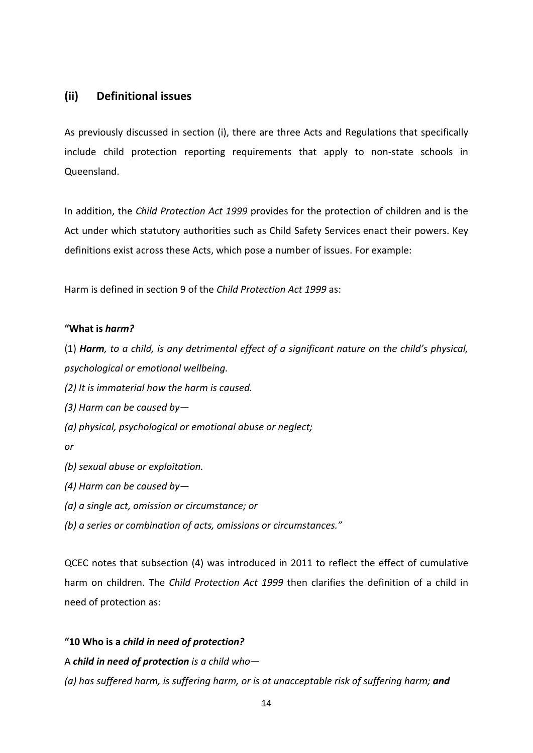## <span id="page-15-0"></span>**(ii) Definitional issues**

As previously discussed in section (i), there are three Acts and Regulations that specifically include child protection reporting requirements that apply to non-state schools in Queensland.

In addition, the *Child Protection Act 1999* provides for the protection of children and is the Act under which statutory authorities such as Child Safety Services enact their powers. Key definitions exist across these Acts, which pose a number of issues. For example:

Harm is defined in section 9 of the *Child Protection Act 1999* as:

## **"What is** *harm?*

(1) *Harm, to a child, is any detrimental effect of a significant nature on the child's physical, psychological or emotional wellbeing.*

*(2) It is immaterial how the harm is caused.*

*(3) Harm can be caused by—*

*(a) physical, psychological or emotional abuse or neglect;*

*or*

- *(b) sexual abuse or exploitation.*
- *(4) Harm can be caused by—*
- *(a) a single act, omission or circumstance; or*

*(b) a series or combination of acts, omissions or circumstances."*

QCEC notes that subsection (4) was introduced in 2011 to reflect the effect of cumulative harm on children. The *Child Protection Act 1999* then clarifies the definition of a child in need of protection as:

## **"10 Who is a** *child in need of protection?*

A *child in need of protection is a child who—*

*(a) has suffered harm, is suffering harm, or is at unacceptable risk of suffering harm; and*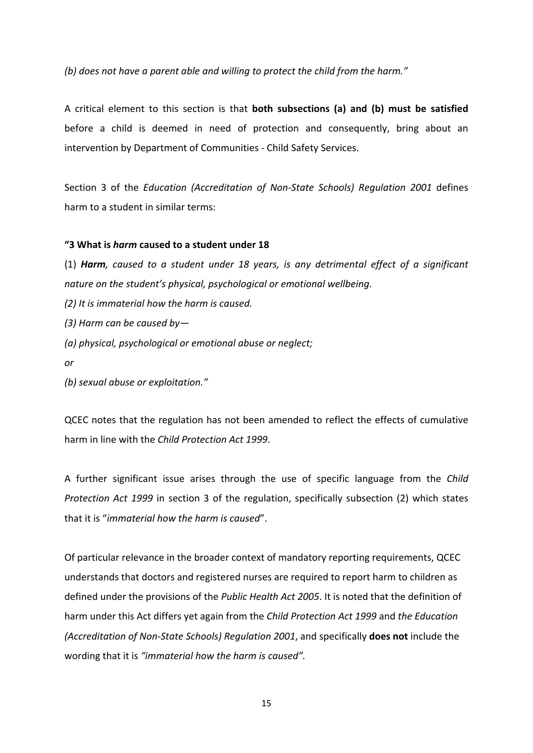*(b) does not have a parent able and willing to protect the child from the harm."*

A critical element to this section is that **both subsections (a) and (b) must be satisfied** before a child is deemed in need of protection and consequently, bring about an intervention by Department of Communities ‐ Child Safety Services.

Section 3 of the *Education (Accreditation of Non‐State Schools) Regulation 2001* defines harm to a student in similar terms:

#### **"3 What is** *harm* **caused to a student under 18**

(1) *Harm, caused to a student under 18 years, is any detrimental effect of a significant nature on the student's physical, psychological or emotional wellbeing.*

*(2) It is immaterial how the harm is caused.*

*(3) Harm can be caused by—*

*(a) physical, psychological or emotional abuse or neglect;*

*or*

*(b) sexual abuse or exploitation."*

QCEC notes that the regulation has not been amended to reflect the effects of cumulative harm in line with the *Child Protection Act 1999*.

A further significant issue arises through the use of specific language from the *Child Protection Act 1999* in section 3 of the regulation, specifically subsection (2) which states that it is "*immaterial how the harm is caused*".

Of particular relevance in the broader context of mandatory reporting requirements, QCEC understands that doctors and registered nurses are required to report harm to children as defined under the provisions of the *Public Health Act 2005*. It is noted that the definition of harm under this Act differs yet again from the *Child Protection Act 1999* and *the Education (Accreditation of Non‐State Schools) Regulation 2001*, and specifically **does not** include the wording that it is *"immaterial how the harm is caused".*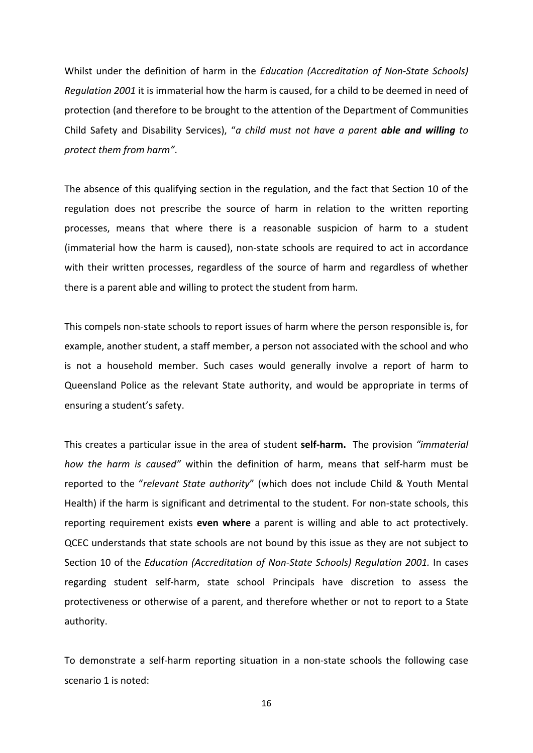Whilst under the definition of harm in the *Education (Accreditation of Non‐State Schools) Regulation 2001* it is immaterial how the harm is caused, for a child to be deemed in need of protection (and therefore to be brought to the attention of the Department of Communities Child Safety and Disability Services), "*a child must not have a parent able and willing to protect them from harm"*.

The absence of this qualifying section in the regulation, and the fact that Section 10 of the regulation does not prescribe the source of harm in relation to the written reporting processes, means that where there is a reasonable suspicion of harm to a student (immaterial how the harm is caused), non‐state schools are required to act in accordance with their written processes, regardless of the source of harm and regardless of whether there is a parent able and willing to protect the student from harm.

This compels non‐state schools to report issues of harm where the person responsible is, for example, another student, a staff member, a person not associated with the school and who is not a household member. Such cases would generally involve a report of harm to Queensland Police as the relevant State authority, and would be appropriate in terms of ensuring a student's safety.

This creates a particular issue in the area of student **self‐harm.** The provision *"immaterial how the harm is caused"* within the definition of harm, means that self‐harm must be reported to the "*relevant State authority*" (which does not include Child & Youth Mental Health) if the harm is significant and detrimental to the student. For non-state schools, this reporting requirement exists **even where** a parent is willing and able to act protectively. QCEC understands that state schools are not bound by this issue as they are not subject to Section 10 of the *Education (Accreditation of Non‐State Schools) Regulation 2001.* In cases regarding student self‐harm, state school Principals have discretion to assess the protectiveness or otherwise of a parent, and therefore whether or not to report to a State authority.

To demonstrate a self‐harm reporting situation in a non‐state schools the following case scenario 1 is noted: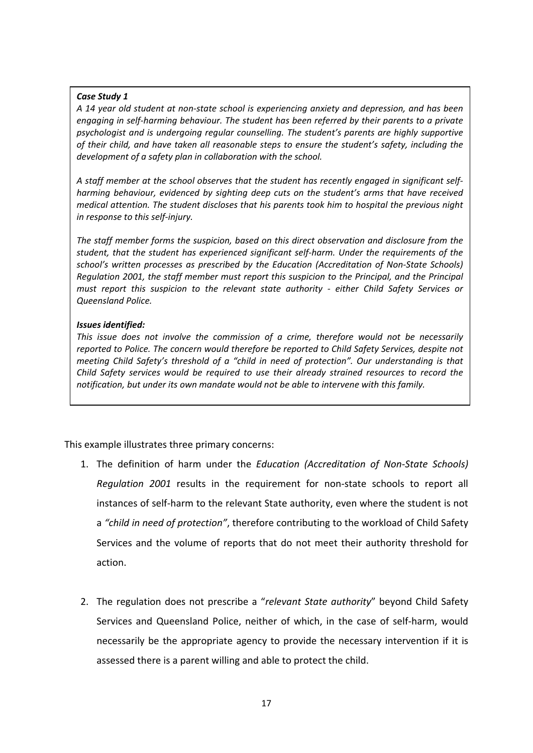### *Case Study 1*

*A 14 year old student at non‐state school is experiencing anxiety and depression, and has been engaging in self‐harming behaviour. The student has been referred by their parents to a private psychologist and is undergoing regular counselling. The student's parents are highly supportive of their child, and have taken all reasonable steps to ensure the student's safety, including the development of a safety plan in collaboration with the school.*

*A staff member at the school observes that the student has recently engaged in significant self‐ harming behaviour, evidenced by sighting deep cuts on the student's arms that have received medical attention. The student discloses that his parents took him to hospital the previous night in response to this self‐injury.*

*The staff member forms the suspicion, based on this direct observation and disclosure from the student, that the student has experienced significant self‐harm. Under the requirements of the school's written processes as prescribed by the Education (Accreditation of Non‐State Schools) Regulation 2001, the staff member must report this suspicion to the Principal, and the Principal must report this suspicion to the relevant state authority ‐ either Child Safety Services or Queensland Police.*

## *Issues identified:*

*This issue does not involve the commission of a crime, therefore would not be necessarily reported to Police. The concern would therefore be reported to Child Safety Services, despite not meeting Child Safety's threshold of a "child in need of protection". Our understanding is that Child Safety services would be required to use their already strained resources to record the notification, but under its own mandate would not be able to intervene with this family.* 

This example illustrates three primary concerns:

- 1. The definition of harm under the *Education (Accreditation of Non‐State Schools) Regulation 2001* results in the requirement for non‐state schools to report all instances of self‐harm to the relevant State authority, even where the student is not a *"child in need of protection"*, therefore contributing to the workload of Child Safety Services and the volume of reports that do not meet their authority threshold for action.
- 2. The regulation does not prescribe a "*relevant State authority*" beyond Child Safety Services and Queensland Police, neither of which, in the case of self‐harm, would necessarily be the appropriate agency to provide the necessary intervention if it is assessed there is a parent willing and able to protect the child.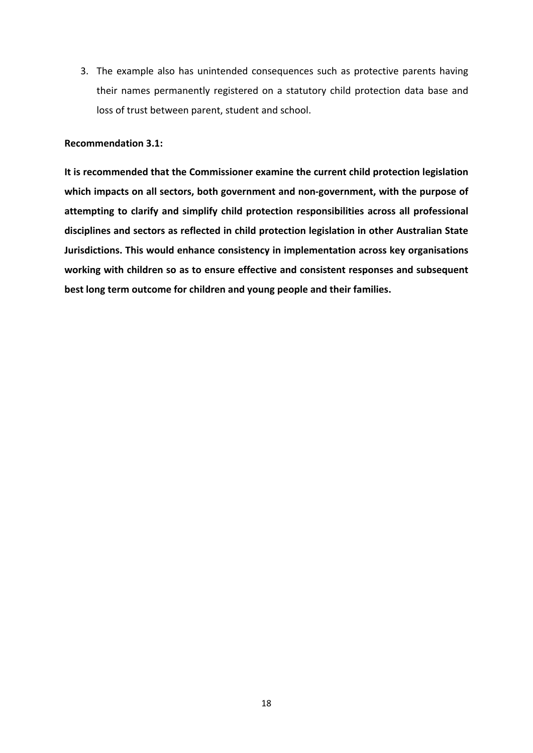3. The example also has unintended consequences such as protective parents having their names permanently registered on a statutory child protection data base and loss of trust between parent, student and school.

## **Recommendation 3.1:**

**It is recommended that the Commissioner examine the current child protection legislation which impacts on all sectors, both government and non‐government, with the purpose of attempting to clarify and simplify child protection responsibilities across all professional disciplines and sectors as reflected in child protection legislation in other Australian State Jurisdictions. This would enhance consistency in implementation across key organisations working with children so as to ensure effective and consistent responses and subsequent best long term outcome for children and young people and their families.**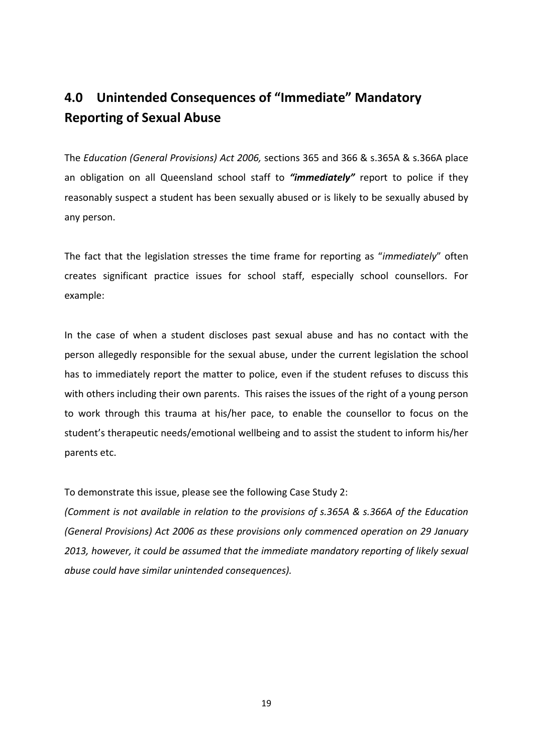## <span id="page-20-0"></span>**4.0 Unintended Consequences of "Immediate" Mandatory Reporting of Sexual Abuse**

The *Education (General Provisions) Act 2006,* sections 365 and 366 & s.365A & s.366A place an obligation on all Queensland school staff to *"immediately"* report to police if they reasonably suspect a student has been sexually abused or is likely to be sexually abused by any person.

The fact that the legislation stresses the time frame for reporting as "*immediately*" often creates significant practice issues for school staff, especially school counsellors. For example:

In the case of when a student discloses past sexual abuse and has no contact with the person allegedly responsible for the sexual abuse, under the current legislation the school has to immediately report the matter to police, even if the student refuses to discuss this with others including their own parents. This raises the issues of the right of a young person to work through this trauma at his/her pace, to enable the counsellor to focus on the student's therapeutic needs/emotional wellbeing and to assist the student to inform his/her parents etc.

To demonstrate this issue, please see the following Case Study 2:

*(Comment is not available in relation to the provisions of s.365A & s.366A of the Education (General Provisions) Act 2006 as these provisions only commenced operation on 29 January 2013, however, it could be assumed that the immediate mandatory reporting of likely sexual abuse could have similar unintended consequences).*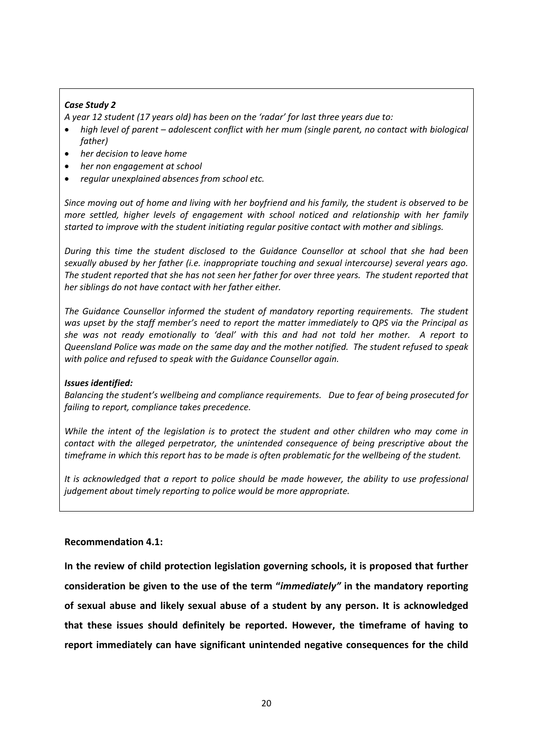## *Case Study 2*

*A year 12 student (17 years old) has been on the 'radar' for last three years due to:*

- *high level of parent – adolescent conflict with her mum (single parent, no contact with biological father)*
- *her decision to leave home*
- *her non engagement at school*
- *regular unexplained absences from school etc.*

Since moving out of home and living with her bovfriend and his family, the student is observed to be *more settled, higher levels of engagement with school noticed and relationship with her family started to improve with the student initiating regular positive contact with mother and siblings.* 

*During this time the student disclosed to the Guidance Counsellor at school that she had been sexually abused by her father (i.e. inappropriate touching and sexual intercourse) several years ago.*  The student reported that she has not seen her father for over three years. The student reported that *her siblings do not have contact with her father either.*

*The Guidance Counsellor informed the student of mandatory reporting requirements. The student was upset by the staff member's need to report the matter immediately to QPS via the Principal as* she was not ready emotionally to 'deal' with this and had not told her mother. A report to *Queensland Police was made on the same day and the mother notified. The student refused to speak with police and refused to speak with the Guidance Counsellor again.*

#### *Issues identified:*

*Balancing the student's wellbeing and compliance requirements. Due to fear of being prosecuted for failing to report, compliance takes precedence.* 

*While the intent of the legislation is to protect the student and other children who may come in contact with the alleged perpetrator, the unintended consequence of being prescriptive about the* timeframe in which this report has to be made is often problematic for the wellbeing of the student.

*It is acknowledged that a report to police should be made however, the ability to use professional judgement about timely reporting to police would be more appropriate.*

## **Recommendation 4.1:**

**In the review of child protection legislation governing schools, it is proposed that further consideration be given to the use of the term "***immediately"* **in the mandatory reporting of sexual abuse and likely sexual abuse of a student by any person. It is acknowledged that these issues should definitely be reported. However, the timeframe of having to report immediately can have significant unintended negative consequences for the child**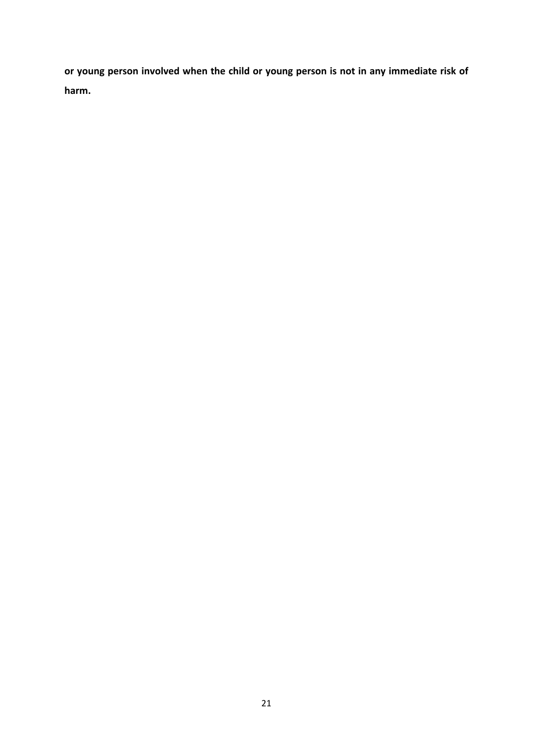**or young person involved when the child or young person is not in any immediate risk of harm.**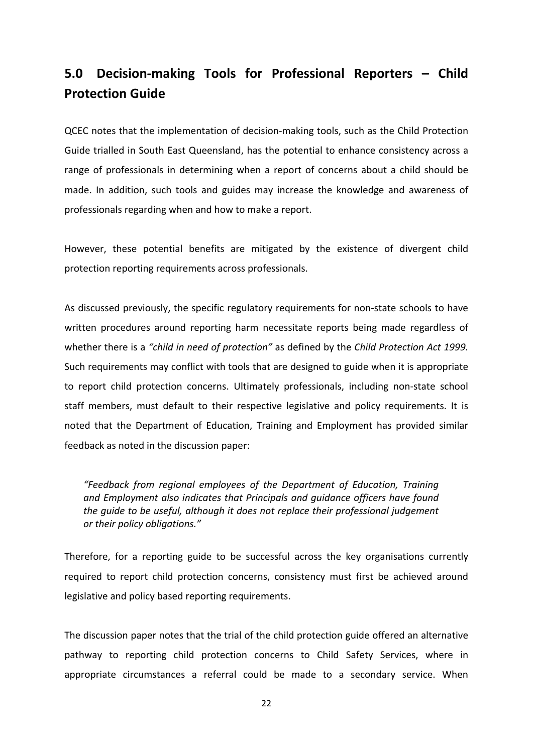## <span id="page-23-0"></span>**5.0 Decision‐making Tools for Professional Reporters – Child Protection Guide**

QCEC notes that the implementation of decision‐making tools, such as the Child Protection Guide trialled in South East Queensland, has the potential to enhance consistency across a range of professionals in determining when a report of concerns about a child should be made. In addition, such tools and guides may increase the knowledge and awareness of professionals regarding when and how to make a report.

However, these potential benefits are mitigated by the existence of divergent child protection reporting requirements across professionals.

As discussed previously, the specific regulatory requirements for non-state schools to have written procedures around reporting harm necessitate reports being made regardless of whether there is a *"child in need of protection"* as defined by the *Child Protection Act 1999.* Such requirements may conflict with tools that are designed to guide when it is appropriate to report child protection concerns. Ultimately professionals, including non‐state school staff members, must default to their respective legislative and policy requirements. It is noted that the Department of Education, Training and Employment has provided similar feedback as noted in the discussion paper:

*"Feedback from regional employees of the Department of Education, Training and Employment also indicates that Principals and guidance officers have found the guide to be useful, although it does not replace their professional judgement or their policy obligations."*

Therefore, for a reporting guide to be successful across the key organisations currently required to report child protection concerns, consistency must first be achieved around legislative and policy based reporting requirements.

The discussion paper notes that the trial of the child protection guide offered an alternative pathway to reporting child protection concerns to Child Safety Services, where in appropriate circumstances a referral could be made to a secondary service. When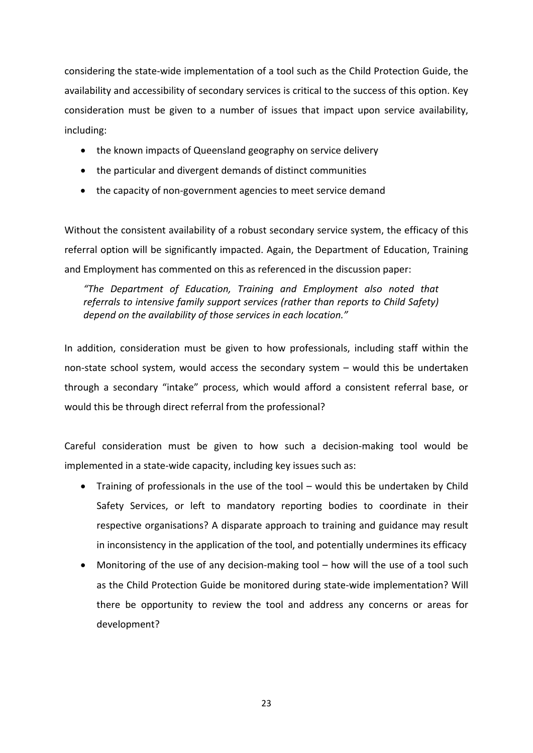considering the state‐wide implementation of a tool such as the Child Protection Guide, the availability and accessibility of secondary services is critical to the success of this option. Key consideration must be given to a number of issues that impact upon service availability, including:

- the known impacts of Queensland geography on service delivery
- the particular and divergent demands of distinct communities
- the capacity of non-government agencies to meet service demand

Without the consistent availability of a robust secondary service system, the efficacy of this referral option will be significantly impacted. Again, the Department of Education, Training and Employment has commented on this as referenced in the discussion paper:

*"The Department of Education, Training and Employment also noted that referrals to intensive family support services (rather than reports to Child Safety) depend on the availability of those services in each location."*

In addition, consideration must be given to how professionals, including staff within the non‐state school system, would access the secondary system – would this be undertaken through a secondary "intake" process, which would afford a consistent referral base, or would this be through direct referral from the professional?

Careful consideration must be given to how such a decision‐making tool would be implemented in a state-wide capacity, including key issues such as:

- Training of professionals in the use of the tool would this be undertaken by Child Safety Services, or left to mandatory reporting bodies to coordinate in their respective organisations? A disparate approach to training and guidance may result in inconsistency in the application of the tool, and potentially undermines its efficacy
- Monitoring of the use of any decision-making tool how will the use of a tool such as the Child Protection Guide be monitored during state‐wide implementation? Will there be opportunity to review the tool and address any concerns or areas for development?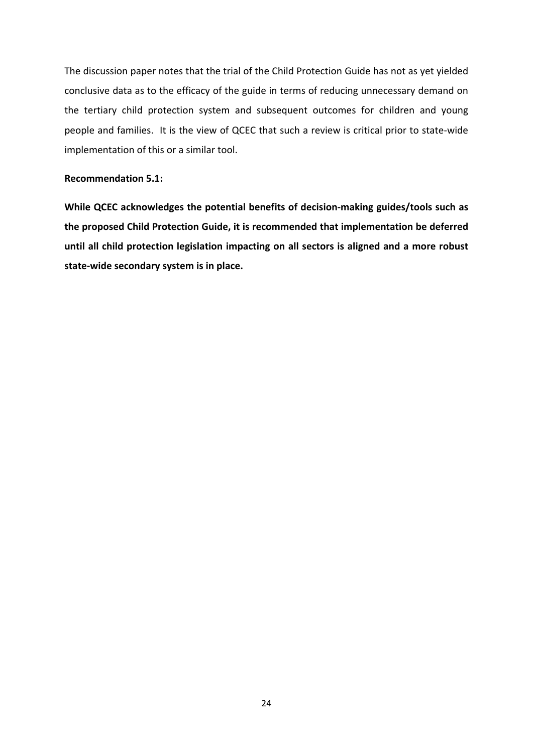The discussion paper notes that the trial of the Child Protection Guide has not as yet yielded conclusive data as to the efficacy of the guide in terms of reducing unnecessary demand on the tertiary child protection system and subsequent outcomes for children and young people and families. It is the view of QCEC that such a review is critical prior to state-wide implementation of this or a similar tool.

### **Recommendation 5.1:**

**While QCEC acknowledges the potential benefits of decision‐making guides/tools such as the proposed Child Protection Guide, it is recommended that implementation be deferred until all child protection legislation impacting on all sectors is aligned and a more robust state‐wide secondary system is in place.**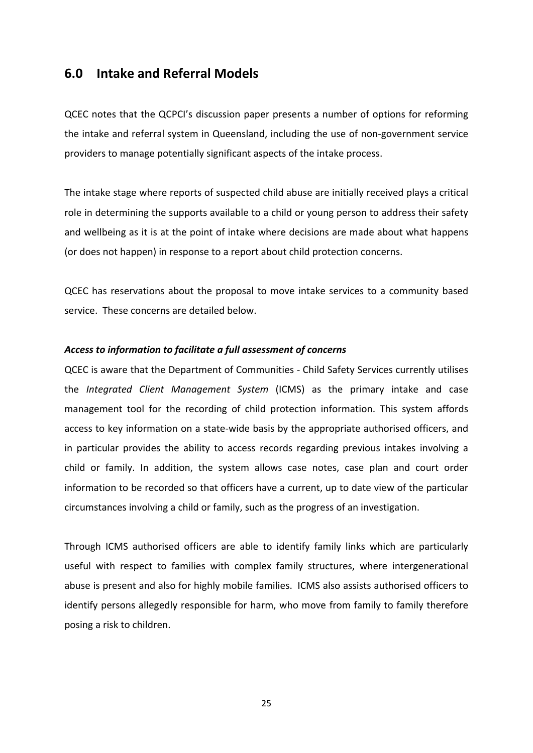## <span id="page-26-0"></span>**6.0 Intake and Referral Models**

QCEC notes that the QCPCI's discussion paper presents a number of options for reforming the intake and referral system in Queensland, including the use of non‐government service providers to manage potentially significant aspects of the intake process.

The intake stage where reports of suspected child abuse are initially received plays a critical role in determining the supports available to a child or young person to address their safety and wellbeing as it is at the point of intake where decisions are made about what happens (or does not happen) in response to a report about child protection concerns.

QCEC has reservations about the proposal to move intake services to a community based service. These concerns are detailed below.

## *Access to information to facilitate a full assessment of concerns*

QCEC is aware that the Department of Communities ‐ Child Safety Services currently utilises the *Integrated Client Management System* (ICMS) as the primary intake and case management tool for the recording of child protection information. This system affords access to key information on a state‐wide basis by the appropriate authorised officers, and in particular provides the ability to access records regarding previous intakes involving a child or family. In addition, the system allows case notes, case plan and court order information to be recorded so that officers have a current, up to date view of the particular circumstances involving a child or family, such as the progress of an investigation.

Through ICMS authorised officers are able to identify family links which are particularly useful with respect to families with complex family structures, where intergenerational abuse is present and also for highly mobile families. ICMS also assists authorised officers to identify persons allegedly responsible for harm, who move from family to family therefore posing a risk to children.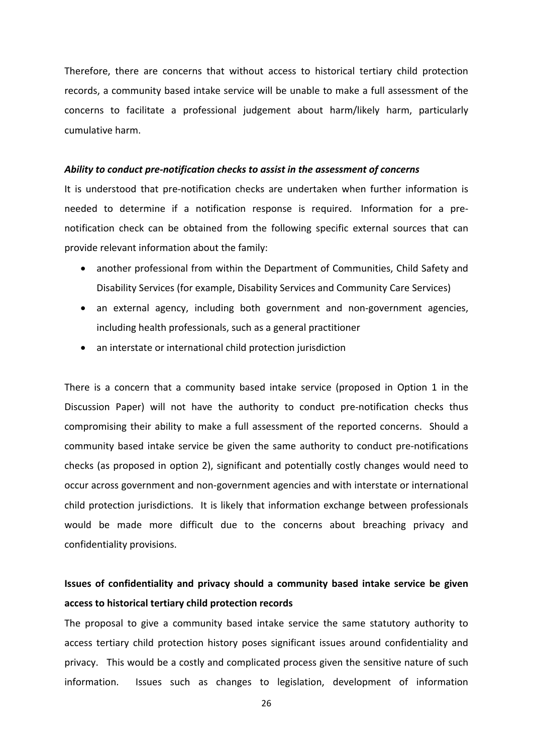Therefore, there are concerns that without access to historical tertiary child protection records, a community based intake service will be unable to make a full assessment of the concerns to facilitate a professional judgement about harm/likely harm, particularly cumulative harm.

#### *Ability to conduct pre‐notification checks to assist in the assessment of concerns*

It is understood that pre-notification checks are undertaken when further information is needed to determine if a notification response is required. Information for a pre‐ notification check can be obtained from the following specific external sources that can provide relevant information about the family:

- another professional from within the Department of Communities, Child Safety and Disability Services (for example, Disability Services and Community Care Services)
- an external agency, including both government and non‐government agencies, including health professionals, such as a general practitioner
- an interstate or international child protection jurisdiction

There is a concern that a community based intake service (proposed in Option 1 in the Discussion Paper) will not have the authority to conduct pre-notification checks thus compromising their ability to make a full assessment of the reported concerns. Should a community based intake service be given the same authority to conduct pre‐notifications checks (as proposed in option 2), significant and potentially costly changes would need to occur across government and non‐government agencies and with interstate or international child protection jurisdictions. It is likely that information exchange between professionals would be made more difficult due to the concerns about breaching privacy and confidentiality provisions.

## **Issues of confidentiality and privacy should a community based intake service be given access to historical tertiary child protection records**

The proposal to give a community based intake service the same statutory authority to access tertiary child protection history poses significant issues around confidentiality and privacy. This would be a costly and complicated process given the sensitive nature of such information. Issues such as changes to legislation, development of information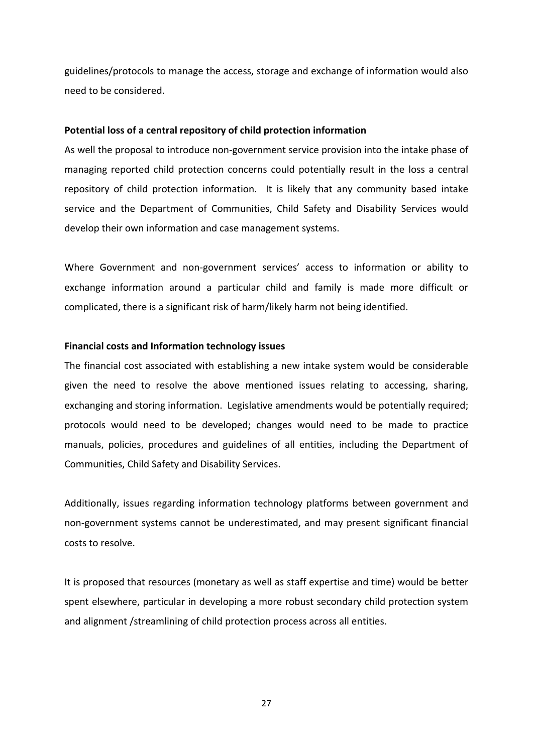guidelines/protocols to manage the access, storage and exchange of information would also need to be considered.

#### **Potential loss of a central repository of child protection information**

As well the proposal to introduce non‐government service provision into the intake phase of managing reported child protection concerns could potentially result in the loss a central repository of child protection information. It is likely that any community based intake service and the Department of Communities, Child Safety and Disability Services would develop their own information and case management systems.

Where Government and non‐government services' access to information or ability to exchange information around a particular child and family is made more difficult or complicated, there is a significant risk of harm/likely harm not being identified.

#### **Financial costs and Information technology issues**

The financial cost associated with establishing a new intake system would be considerable given the need to resolve the above mentioned issues relating to accessing, sharing, exchanging and storing information. Legislative amendments would be potentially required; protocols would need to be developed; changes would need to be made to practice manuals, policies, procedures and guidelines of all entities, including the Department of Communities, Child Safety and Disability Services.

Additionally, issues regarding information technology platforms between government and non‐government systems cannot be underestimated, and may present significant financial costs to resolve.

It is proposed that resources (monetary as well as staff expertise and time) would be better spent elsewhere, particular in developing a more robust secondary child protection system and alignment /streamlining of child protection process across all entities.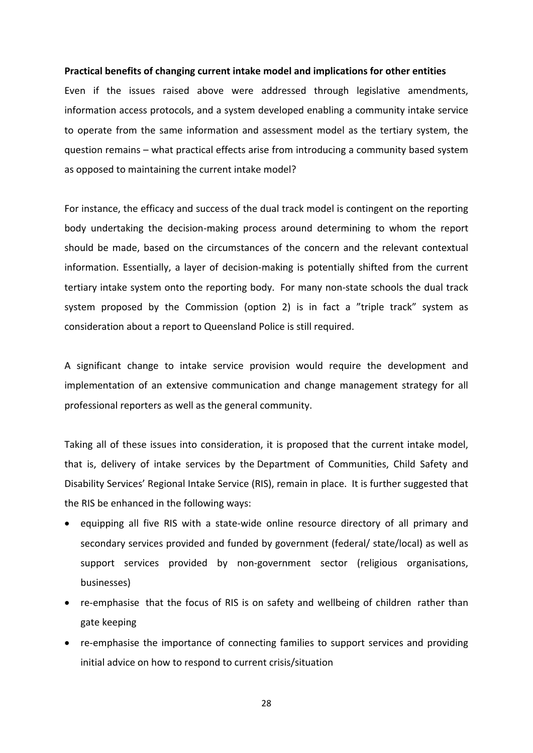#### **Practical benefits of changing current intake model and implications for other entities**

Even if the issues raised above were addressed through legislative amendments, information access protocols, and a system developed enabling a community intake service to operate from the same information and assessment model as the tertiary system, the question remains – what practical effects arise from introducing a community based system as opposed to maintaining the current intake model?

For instance, the efficacy and success of the dual track model is contingent on the reporting body undertaking the decision-making process around determining to whom the report should be made, based on the circumstances of the concern and the relevant contextual information. Essentially, a layer of decision-making is potentially shifted from the current tertiary intake system onto the reporting body. For many non‐state schools the dual track system proposed by the Commission (option 2) is in fact a "triple track" system as consideration about a report to Queensland Police is still required.

A significant change to intake service provision would require the development and implementation of an extensive communication and change management strategy for all professional reporters as well as the general community.

Taking all of these issues into consideration, it is proposed that the current intake model, that is, delivery of intake services by the Department of Communities, Child Safety and Disability Services' Regional Intake Service (RIS), remain in place. It is further suggested that the RIS be enhanced in the following ways:

- equipping all five RIS with a state-wide online resource directory of all primary and secondary services provided and funded by government (federal/ state/local) as well as support services provided by non‐government sector (religious organisations, businesses)
- re-emphasise that the focus of RIS is on safety and wellbeing of children rather than gate keeping
- re-emphasise the importance of connecting families to support services and providing initial advice on how to respond to current crisis/situation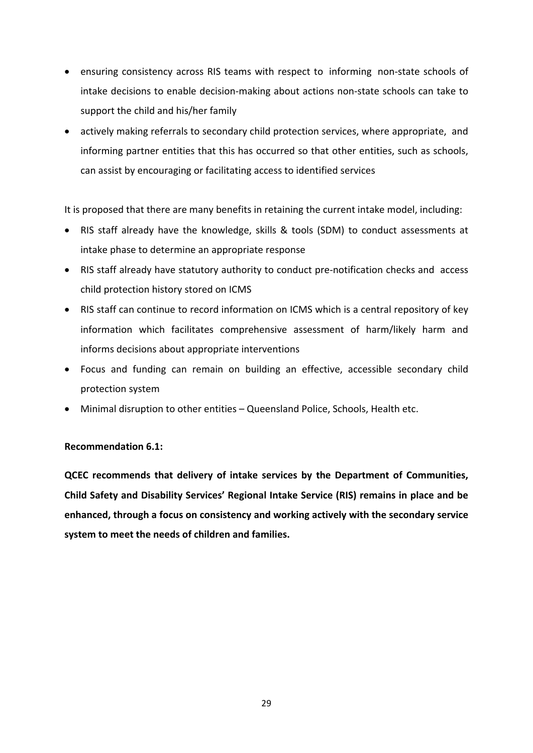- ensuring consistency across RIS teams with respect to informing non-state schools of intake decisions to enable decision‐making about actions non‐state schools can take to support the child and his/her family
- actively making referrals to secondary child protection services, where appropriate, and informing partner entities that this has occurred so that other entities, such as schools, can assist by encouraging or facilitating access to identified services

It is proposed that there are many benefits in retaining the current intake model, including:

- RIS staff already have the knowledge, skills & tools (SDM) to conduct assessments at intake phase to determine an appropriate response
- RIS staff already have statutory authority to conduct pre‐notification checks and access child protection history stored on ICMS
- RIS staff can continue to record information on ICMS which is a central repository of key information which facilitates comprehensive assessment of harm/likely harm and informs decisions about appropriate interventions
- Focus and funding can remain on building an effective, accessible secondary child protection system
- Minimal disruption to other entities Queensland Police, Schools, Health etc.

## **Recommendation 6.1:**

**QCEC recommends that delivery of intake services by the Department of Communities, Child Safety and Disability Services' Regional Intake Service (RIS) remains in place and be enhanced, through a focus on consistency and working actively with the secondary service system to meet the needs of children and families.**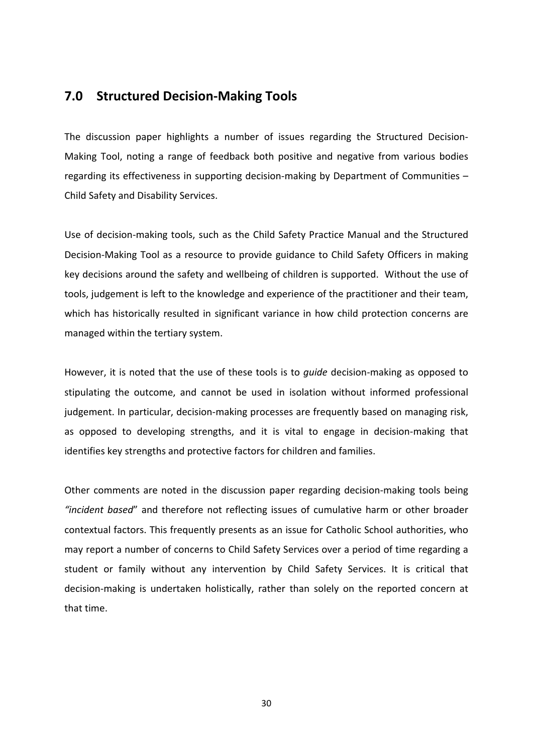## <span id="page-31-0"></span>**7.0 Structured Decision‐Making Tools**

The discussion paper highlights a number of issues regarding the Structured Decision‐ Making Tool, noting a range of feedback both positive and negative from various bodies regarding its effectiveness in supporting decision-making by Department of Communities – Child Safety and Disability Services.

Use of decision‐making tools, such as the Child Safety Practice Manual and the Structured Decision‐Making Tool as a resource to provide guidance to Child Safety Officers in making key decisions around the safety and wellbeing of children is supported. Without the use of tools, judgement is left to the knowledge and experience of the practitioner and their team, which has historically resulted in significant variance in how child protection concerns are managed within the tertiary system.

However, it is noted that the use of these tools is to *guide* decision‐making as opposed to stipulating the outcome, and cannot be used in isolation without informed professional judgement. In particular, decision-making processes are frequently based on managing risk, as opposed to developing strengths, and it is vital to engage in decision‐making that identifies key strengths and protective factors for children and families.

Other comments are noted in the discussion paper regarding decision‐making tools being *"incident based*" and therefore not reflecting issues of cumulative harm or other broader contextual factors. This frequently presents as an issue for Catholic School authorities, who may report a number of concerns to Child Safety Services over a period of time regarding a student or family without any intervention by Child Safety Services. It is critical that decision‐making is undertaken holistically, rather than solely on the reported concern at that time.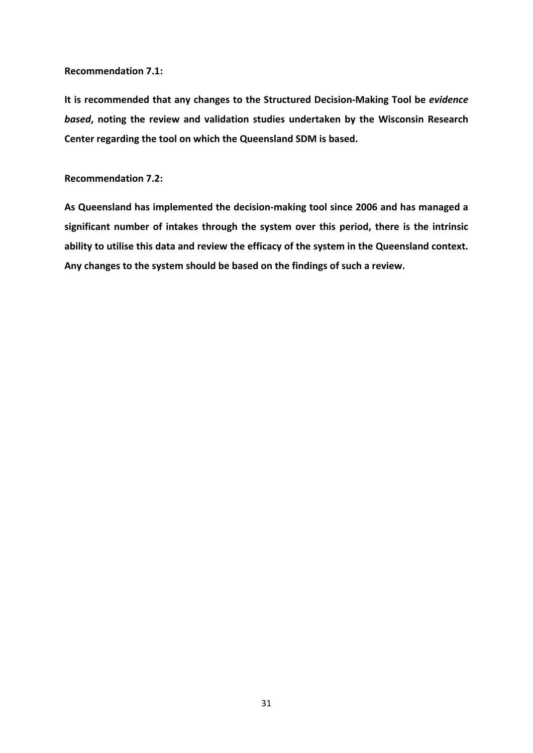#### **Recommendation 7.1:**

**It is recommended that any changes to the Structured Decision‐Making Tool be** *evidence based***, noting the review and validation studies undertaken by the Wisconsin Research Center regarding the tool on which the Queensland SDM is based.** 

#### **Recommendation 7.2:**

**As Queensland has implemented the decision‐making tool since 2006 and has managed a significant number of intakes through the system over this period, there is the intrinsic ability to utilise this data and review the efficacy of the system in the Queensland context. Any changes to the system should be based on the findings of such a review.**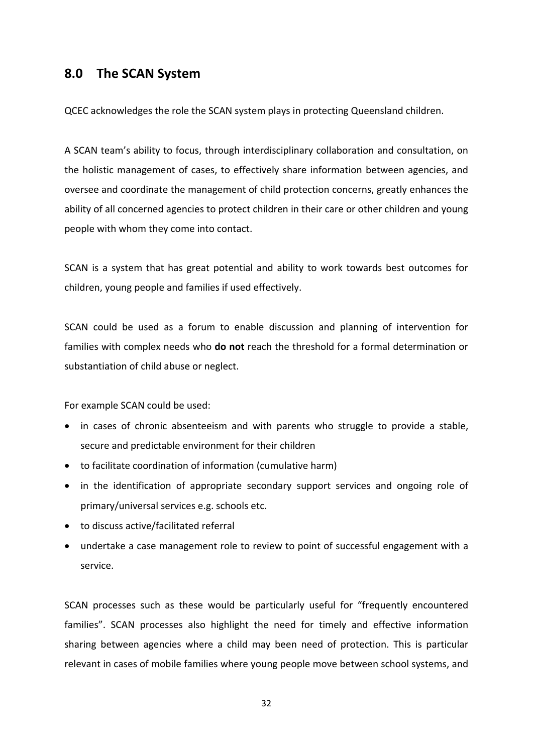## <span id="page-33-0"></span>**8.0 The SCAN System**

QCEC acknowledges the role the SCAN system plays in protecting Queensland children.

A SCAN team's ability to focus, through interdisciplinary collaboration and consultation, on the holistic management of cases, to effectively share information between agencies, and oversee and coordinate the management of child protection concerns, greatly enhances the ability of all concerned agencies to protect children in their care or other children and young people with whom they come into contact.

SCAN is a system that has great potential and ability to work towards best outcomes for children, young people and families if used effectively.

SCAN could be used as a forum to enable discussion and planning of intervention for families with complex needs who **do not** reach the threshold for a formal determination or substantiation of child abuse or neglect.

For example SCAN could be used:

- in cases of chronic absenteeism and with parents who struggle to provide a stable, secure and predictable environment for their children
- to facilitate coordination of information (cumulative harm)
- in the identification of appropriate secondary support services and ongoing role of primary/universal services e.g. schools etc.
- to discuss active/facilitated referral
- undertake a case management role to review to point of successful engagement with a service.

SCAN processes such as these would be particularly useful for "frequently encountered families". SCAN processes also highlight the need for timely and effective information sharing between agencies where a child may been need of protection. This is particular relevant in cases of mobile families where young people move between school systems, and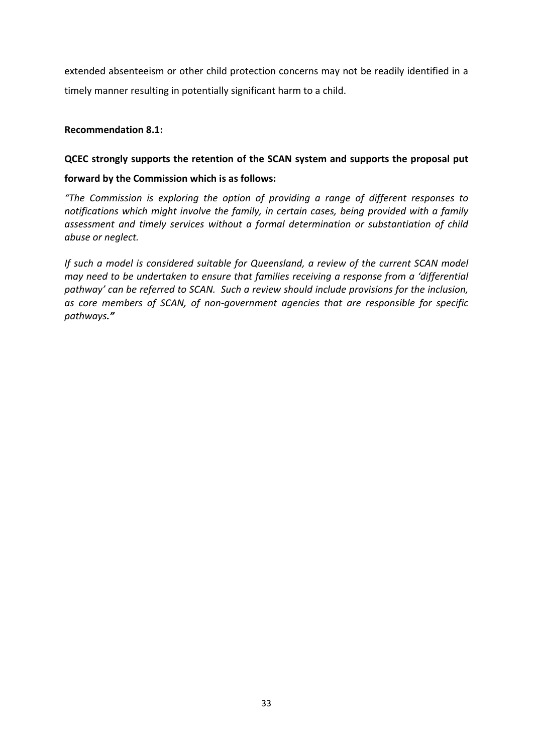extended absenteeism or other child protection concerns may not be readily identified in a timely manner resulting in potentially significant harm to a child.

## **Recommendation 8.1:**

## **QCEC strongly supports the retention of the SCAN system and supports the proposal put**

## **forward by the Commission which is as follows:**

*"The Commission is exploring the option of providing a range of different responses to notifications which might involve the family, in certain cases, being provided with a family assessment and timely services without a formal determination or substantiation of child abuse or neglect.* 

*If such a model is considered suitable for Queensland, a review of the current SCAN model may need to be undertaken to ensure that families receiving a response from a 'differential pathway' can be referred to SCAN. Such a review should include provisions for the inclusion, as core members of SCAN, of non‐government agencies that are responsible for specific pathways."*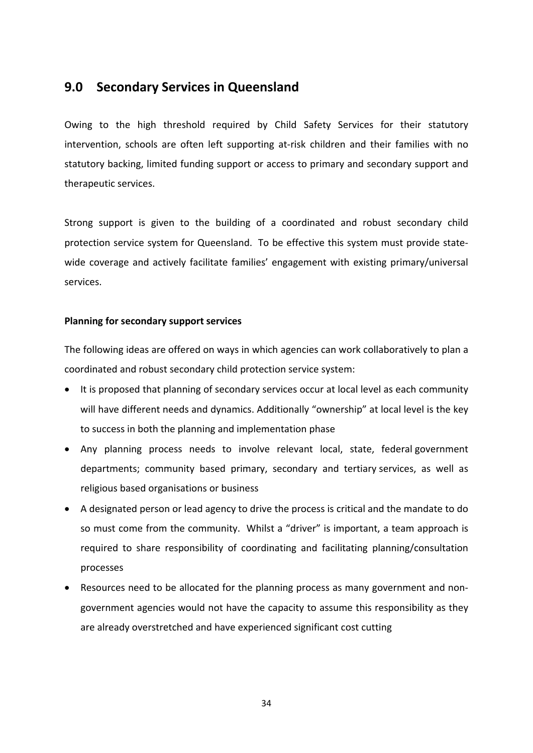## <span id="page-35-0"></span>**9.0 Secondary Services in Queensland**

Owing to the high threshold required by Child Safety Services for their statutory intervention, schools are often left supporting at-risk children and their families with no statutory backing, limited funding support or access to primary and secondary support and therapeutic services.

Strong support is given to the building of a coordinated and robust secondary child protection service system for Queensland. To be effective this system must provide state‐ wide coverage and actively facilitate families' engagement with existing primary/universal services.

## **Planning for secondary support services**

The following ideas are offered on ways in which agencies can work collaboratively to plan a coordinated and robust secondary child protection service system:

- It is proposed that planning of secondary services occur at local level as each community will have different needs and dynamics. Additionally "ownership" at local level is the key to success in both the planning and implementation phase
- Any planning process needs to involve relevant local, state, federal government departments; community based primary, secondary and tertiary services, as well as religious based organisations or business
- A designated person or lead agency to drive the process is critical and the mandate to do so must come from the community. Whilst a "driver" is important, a team approach is required to share responsibility of coordinating and facilitating planning/consultation processes
- Resources need to be allocated for the planning process as many government and non‐ government agencies would not have the capacity to assume this responsibility as they are already overstretched and have experienced significant cost cutting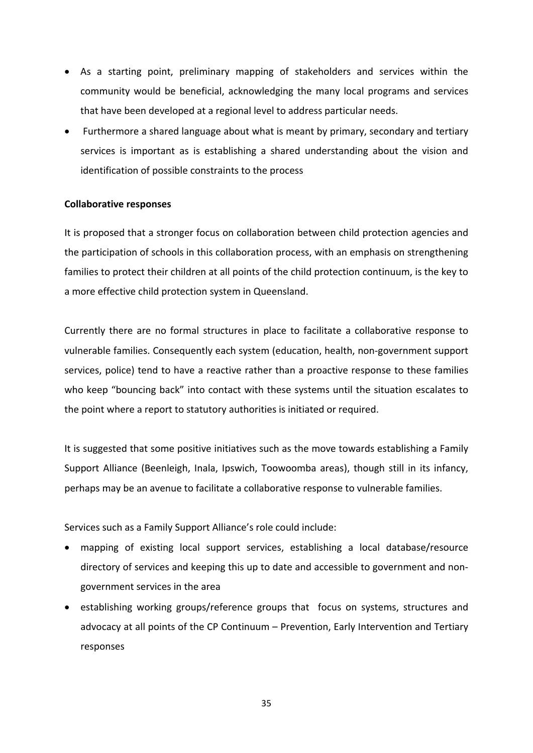- As a starting point, preliminary mapping of stakeholders and services within the community would be beneficial, acknowledging the many local programs and services that have been developed at a regional level to address particular needs.
- Furthermore a shared language about what is meant by primary, secondary and tertiary services is important as is establishing a shared understanding about the vision and identification of possible constraints to the process

## **Collaborative responses**

It is proposed that a stronger focus on collaboration between child protection agencies and the participation of schools in this collaboration process, with an emphasis on strengthening families to protect their children at all points of the child protection continuum, is the key to a more effective child protection system in Queensland.

Currently there are no formal structures in place to facilitate a collaborative response to vulnerable families. Consequently each system (education, health, non‐government support services, police) tend to have a reactive rather than a proactive response to these families who keep "bouncing back" into contact with these systems until the situation escalates to the point where a report to statutory authorities is initiated or required.

It is suggested that some positive initiatives such as the move towards establishing a Family Support Alliance (Beenleigh, Inala, Ipswich, Toowoomba areas), though still in its infancy, perhaps may be an avenue to facilitate a collaborative response to vulnerable families.

Services such as a Family Support Alliance's role could include:

- mapping of existing local support services, establishing a local database/resource directory of services and keeping this up to date and accessible to government and non‐ government services in the area
- establishing working groups/reference groups that focus on systems, structures and advocacy at all points of the CP Continuum – Prevention, Early Intervention and Tertiary responses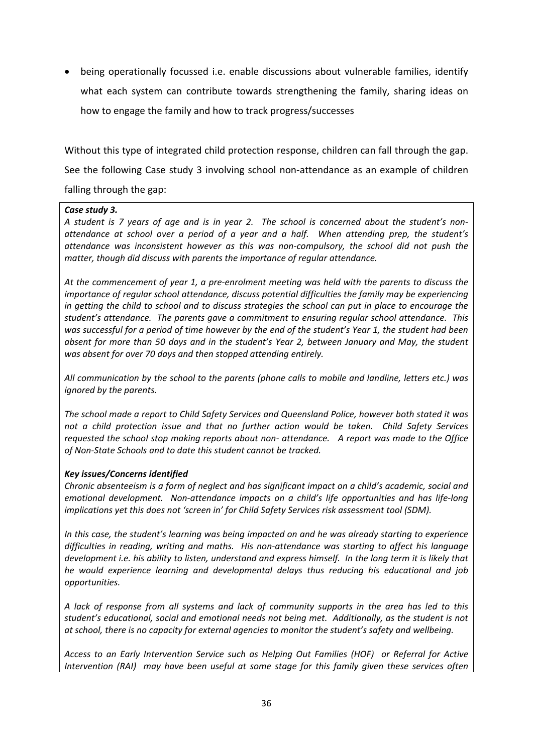being operationally focussed i.e. enable discussions about vulnerable families, identify what each system can contribute towards strengthening the family, sharing ideas on how to engage the family and how to track progress/successes

Without this type of integrated child protection response, children can fall through the gap. See the following Case study 3 involving school non-attendance as an example of children falling through the gap:

#### *Case study 3.*

A student is 7 years of age and is in year 2. The school is concerned about the student's non*attendance at school over a period of a year and a half. When attending prep, the student's attendance was inconsistent however as this was non‐compulsory, the school did not push the matter, though did discuss with parents the importance of regular attendance.* 

At the commencement of year 1, a pre-enrolment meeting was held with the parents to discuss the *importance of regular school attendance, discuss potential difficulties the family may be experiencing* in getting the child to school and to discuss strategies the school can put in place to encourage the *student's attendance. The parents gave a commitment to ensuring regular school attendance. This* was successful for a period of time however by the end of the student's Year 1, the student had been *absent for more than 50 days and in the student's Year 2, between January and May, the student was absent for over 70 days and then stopped attending entirely.* 

*All communication by the school to the parents (phone calls to mobile and landline, letters etc.) was ignored by the parents.*

*The school made a report to Child Safety Services and Queensland Police, however both stated it was not a child protection issue and that no further action would be taken. Child Safety Services requested the school stop making reports about non‐ attendance. A report was made to the Office of Non‐State Schools and to date this student cannot be tracked.*

#### *Key issues/Concerns identified*

*Chronic absenteeism is a form of neglect and has significant impact on a child's academic, social and emotional development. Non‐attendance impacts on a child's life opportunities and has life‐long implications yet this does not 'screen in' for Child Safety Services risk assessment tool (SDM).* 

*In this case, the student's learning was being impacted on and he was already starting to experience difficulties in reading, writing and maths. His non‐attendance was starting to affect his language* development i.e. his ability to listen, understand and express himself. In the long term it is likely that *he would experience learning and developmental delays thus reducing his educational and job opportunities.*

A lack of response from all systems and lack of community supports in the area has led to this *student's educational, social and emotional needs not being met. Additionally, as the student is not at school, there is no capacity for external agencies to monitor the student's safety and wellbeing.* 

*Access to an Early Intervention Service such as Helping Out Families (HOF) or Referral for Active Intervention (RAI) may have been useful at some stage for this family given these services often*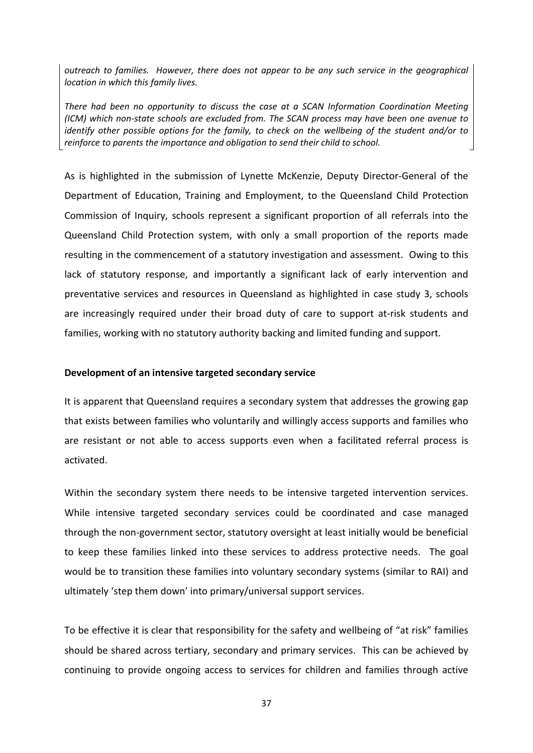*outreach to families. However, there does not appear to be any such service in the geographical location in which this family lives.*

*There had been no opportunity to discuss the case at a SCAN Information Coordination Meeting (ICM) which non‐state schools are excluded from. The SCAN process may have been one avenue to identify other possible options for the family, to check on the wellbeing of the student and/or to reinforce to parents the importance and obligation to send their child to school.*

As is highlighted in the submission of Lynette McKenzie, Deputy Director‐General of the Department of Education, Training and Employment, to the Queensland Child Protection Commission of Inquiry, schools represent a significant proportion of all referrals into the Queensland Child Protection system, with only a small proportion of the reports made resulting in the commencement of a statutory investigation and assessment. Owing to this lack of statutory response, and importantly a significant lack of early intervention and preventative services and resources in Queensland as highlighted in case study 3, schools are increasingly required under their broad duty of care to support at-risk students and families, working with no statutory authority backing and limited funding and support.

### **Development of an intensive targeted secondary service**

It is apparent that Queensland requires a secondary system that addresses the growing gap that exists between families who voluntarily and willingly access supports and families who are resistant or not able to access supports even when a facilitated referral process is activated.

Within the secondary system there needs to be intensive targeted intervention services. While intensive targeted secondary services could be coordinated and case managed through the non‐government sector, statutory oversight at least initially would be beneficial to keep these families linked into these services to address protective needs. The goal would be to transition these families into voluntary secondary systems (similar to RAI) and ultimately 'step them down' into primary/universal support services.

To be effective it is clear that responsibility for the safety and wellbeing of "at risk" families should be shared across tertiary, secondary and primary services. This can be achieved by continuing to provide ongoing access to services for children and families through active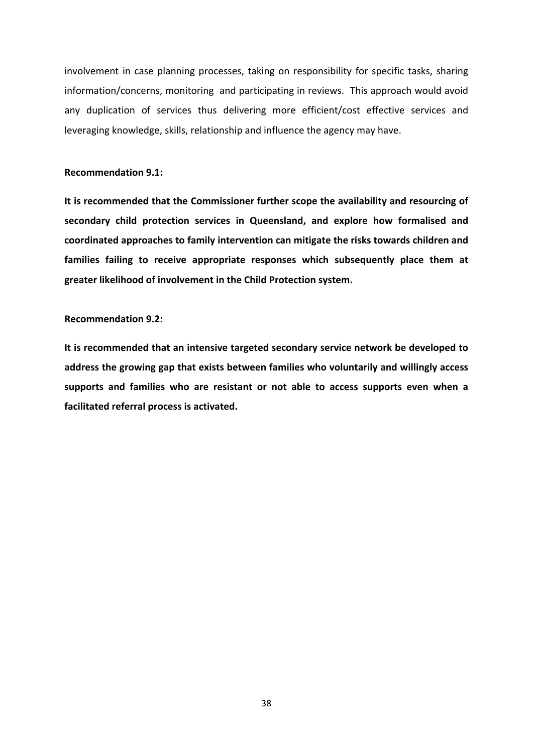involvement in case planning processes, taking on responsibility for specific tasks, sharing information/concerns, monitoring and participating in reviews. This approach would avoid any duplication of services thus delivering more efficient/cost effective services and leveraging knowledge, skills, relationship and influence the agency may have.

## **Recommendation 9.1:**

**It is recommended that the Commissioner further scope the availability and resourcing of secondary child protection services in Queensland, and explore how formalised and coordinated approaches to family intervention can mitigate the risks towards children and families failing to receive appropriate responses which subsequently place them at greater likelihood of involvement in the Child Protection system.**

#### **Recommendation 9.2:**

**It is recommended that an intensive targeted secondary service network be developed to address the growing gap that exists between families who voluntarily and willingly access supports and families who are resistant or not able to access supports even when a facilitated referral process is activated.**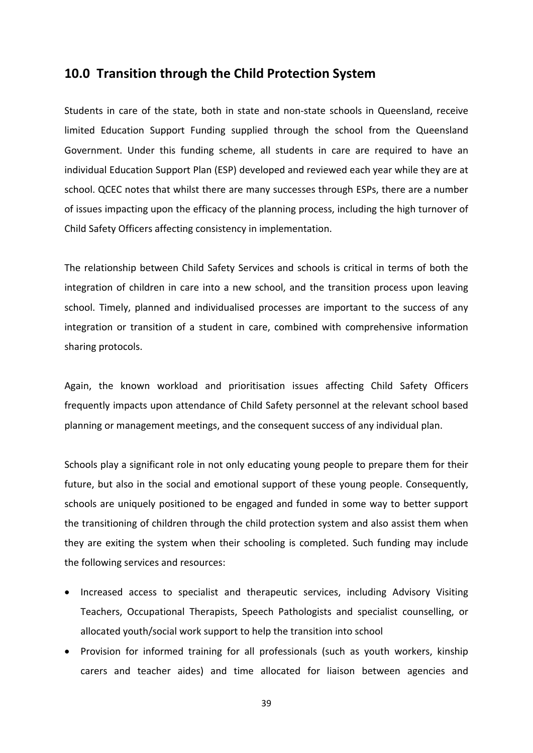## <span id="page-40-0"></span>**10.0 Transition through the Child Protection System**

Students in care of the state, both in state and non‐state schools in Queensland, receive limited Education Support Funding supplied through the school from the Queensland Government. Under this funding scheme, all students in care are required to have an individual Education Support Plan (ESP) developed and reviewed each year while they are at school. QCEC notes that whilst there are many successes through ESPs, there are a number of issues impacting upon the efficacy of the planning process, including the high turnover of Child Safety Officers affecting consistency in implementation.

The relationship between Child Safety Services and schools is critical in terms of both the integration of children in care into a new school, and the transition process upon leaving school. Timely, planned and individualised processes are important to the success of any integration or transition of a student in care, combined with comprehensive information sharing protocols.

Again, the known workload and prioritisation issues affecting Child Safety Officers frequently impacts upon attendance of Child Safety personnel at the relevant school based planning or management meetings, and the consequent success of any individual plan.

Schools play a significant role in not only educating young people to prepare them for their future, but also in the social and emotional support of these young people. Consequently, schools are uniquely positioned to be engaged and funded in some way to better support the transitioning of children through the child protection system and also assist them when they are exiting the system when their schooling is completed. Such funding may include the following services and resources:

- Increased access to specialist and therapeutic services, including Advisory Visiting Teachers, Occupational Therapists, Speech Pathologists and specialist counselling, or allocated youth/social work support to help the transition into school
- Provision for informed training for all professionals (such as youth workers, kinship carers and teacher aides) and time allocated for liaison between agencies and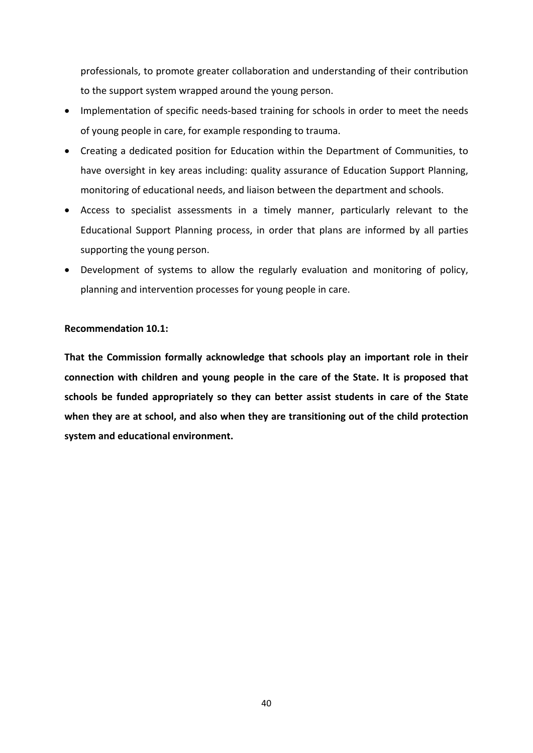professionals, to promote greater collaboration and understanding of their contribution to the support system wrapped around the young person.

- Implementation of specific needs-based training for schools in order to meet the needs of young people in care, for example responding to trauma.
- Creating a dedicated position for Education within the Department of Communities, to have oversight in key areas including: quality assurance of Education Support Planning, monitoring of educational needs, and liaison between the department and schools.
- Access to specialist assessments in a timely manner, particularly relevant to the Educational Support Planning process, in order that plans are informed by all parties supporting the young person.
- Development of systems to allow the regularly evaluation and monitoring of policy, planning and intervention processes for young people in care.

## **Recommendation 10.1:**

**That the Commission formally acknowledge that schools play an important role in their connection with children and young people in the care of the State. It is proposed that schools be funded appropriately so they can better assist students in care of the State when they are at school, and also when they are transitioning out of the child protection system and educational environment.**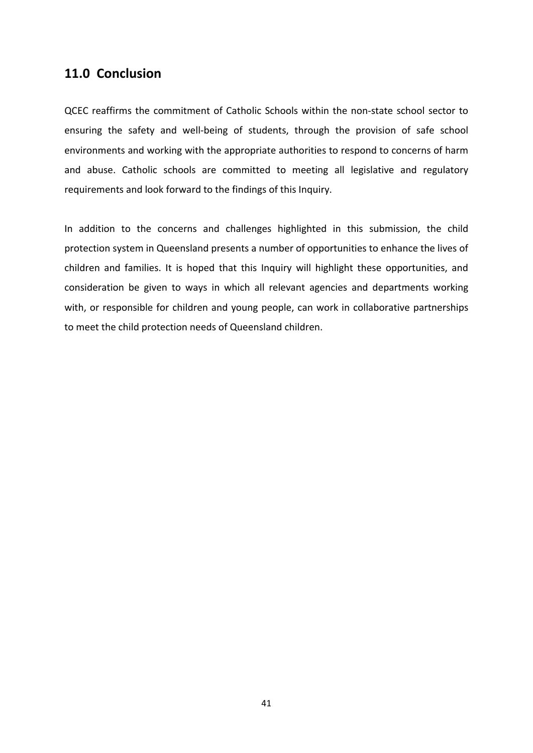## <span id="page-42-0"></span>**11.0 Conclusion**

QCEC reaffirms the commitment of Catholic Schools within the non‐state school sector to ensuring the safety and well-being of students, through the provision of safe school environments and working with the appropriate authorities to respond to concerns of harm and abuse. Catholic schools are committed to meeting all legislative and regulatory requirements and look forward to the findings of this Inquiry.

In addition to the concerns and challenges highlighted in this submission, the child protection system in Queensland presents a number of opportunities to enhance the lives of children and families. It is hoped that this Inquiry will highlight these opportunities, and consideration be given to ways in which all relevant agencies and departments working with, or responsible for children and young people, can work in collaborative partnerships to meet the child protection needs of Queensland children.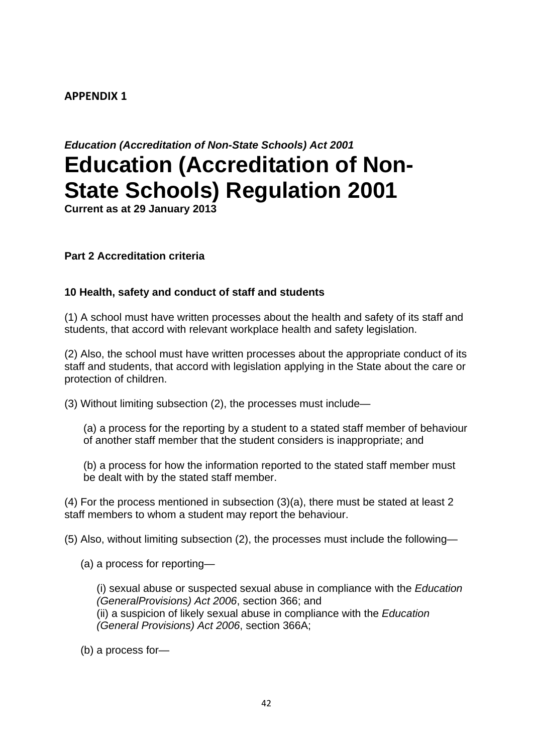## **APPENDIX 1**

# *Education (Accreditation of Non-State Schools) Act 2001*  **Education (Accreditation of Non-State Schools) Regulation 2001**

**Current as at 29 January 2013** 

## **Part 2 Accreditation criteria**

## **10 Health, safety and conduct of staff and students**

(1) A school must have written processes about the health and safety of its staff and students, that accord with relevant workplace health and safety legislation.

(2) Also, the school must have written processes about the appropriate conduct of its staff and students, that accord with legislation applying in the State about the care or protection of children.

(3) Without limiting subsection (2), the processes must include—

(a) a process for the reporting by a student to a stated staff member of behaviour of another staff member that the student considers is inappropriate; and

(b) a process for how the information reported to the stated staff member must be dealt with by the stated staff member.

(4) For the process mentioned in subsection (3)(a), there must be stated at least 2 staff members to whom a student may report the behaviour.

(5) Also, without limiting subsection (2), the processes must include the following—

(a) a process for reporting—

(i) sexual abuse or suspected sexual abuse in compliance with the *Education (GeneralProvisions) Act 2006*, section 366; and (ii) a suspicion of likely sexual abuse in compliance with the *Education (General Provisions) Act 2006*, section 366A;

(b) a process for—